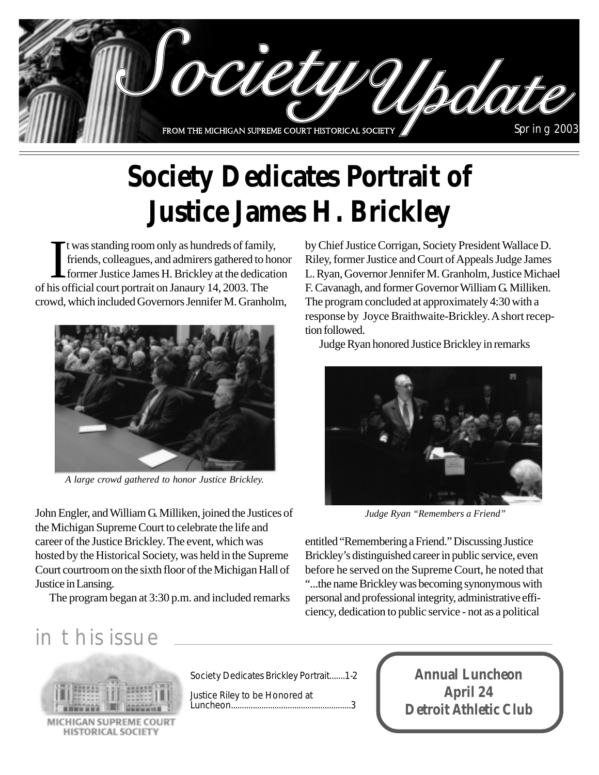

# **Society Dedicates Portrait of Justice James H. Brickley**

It was standing room only as hundreds of famil<br>friends, colleagues, and admirers gathered to later former Justice James H. Brickley at the dedication<br>of his official court portrait on Janaury 14, 2003. The t was standing room only as hundreds of family, friends, colleagues, and admirers gathered to honor former Justice James H. Brickley at the dedication crowd, which included Governors Jennifer M. Granholm,



*A large crowd gathered to honor Justice Brickley.*

John Engler, and William G. Milliken, joined the Justices of the Michigan Supreme Court to celebrate the life and career of the Justice Brickley. The event, which was hosted by the Historical Society, was held in the Supreme Court courtroom on the sixth floor of the Michigan Hall of Justice in Lansing.

The program began at 3:30 p.m. and included remarks

by Chief Justice Corrigan, Society President Wallace D. Riley, former Justice and Court of Appeals Judge James L. Ryan, Governor Jennifer M. Granholm, Justice Michael F. Cavanagh, and former Governor William G. Milliken. The program concluded at approximately 4:30 with a response by Joyce Braithwaite-Brickley. A short reception followed.

Judge Ryan honored Justice Brickley in remarks



*Judge Ryan "Remembers a Friend"*

entitled "Remembering a Friend." Discussing Justice Brickley's distinguished career in public service, even before he served on the Supreme Court, he noted that "...the name Brickley was becoming synonymous with personal and professional integrity, administrative efficiency, dedication to public service - not as a political

## in this issue



MICHIGAN SUPREME COU **HISTORICAL SOCIETY** 

Society Dedicates Brickley Portrait.......1-2

Justice Riley to be Honored at Luncheon.......................................................3

**Annual Luncheon April 24 Detroit Athletic Club**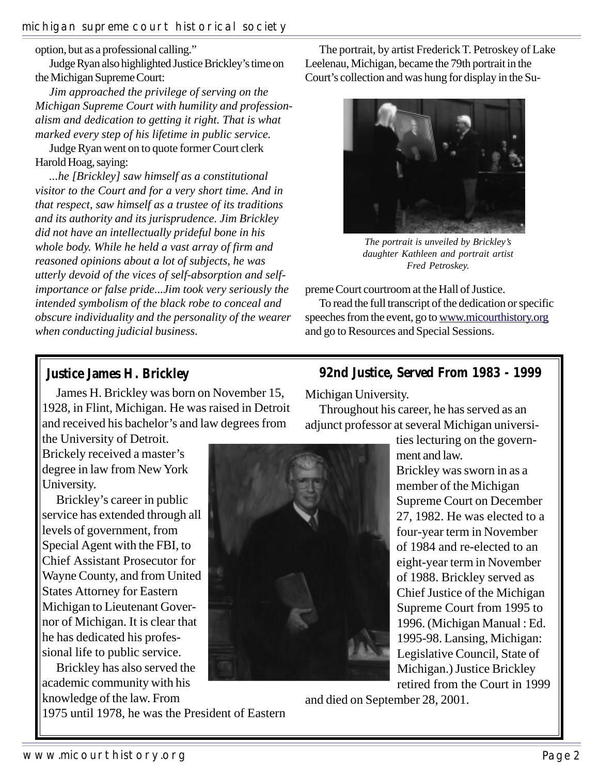option, but as a professional calling."

Judge Ryan also highlighted Justice Brickley's time on the Michigan Supreme Court:

*Jim approached the privilege of serving on the Michigan Supreme Court with humility and professionalism and dedication to getting it right. That is what marked every step of his lifetime in public service.*

Judge Ryan went on to quote former Court clerk Harold Hoag, saying:

*...he [Brickley] saw himself as a constitutional visitor to the Court and for a very short time. And in that respect, saw himself as a trustee of its traditions and its authority and its jurisprudence. Jim Brickley did not have an intellectually prideful bone in his whole body. While he held a vast array of firm and reasoned opinions about a lot of subjects, he was utterly devoid of the vices of self-absorption and selfimportance or false pride...Jim took very seriously the intended symbolism of the black robe to conceal and obscure individuality and the personality of the wearer when conducting judicial business.*

The portrait, by artist Frederick T. Petroskey of Lake Leelenau, Michigan, became the 79th portrait in the Court's collection and was hung for display in the Su-



*The portrait is unveiled by Brickley's daughter Kathleen and portrait artist Fred Petroskey.*

preme Court courtroom at the Hall of Justice.

To read the full transcript of the dedication or specific speeches from the event, go to www.micourthistory.org and go to Resources and Special Sessions.

#### **Justice James H. Brickley**

James H. Brickley was born on November 15, 1928, in Flint, Michigan. He was raised in Detroit and received his bachelor's and law degrees from

the University of Detroit. Brickely received a master's degree in law from New York University.

Brickley's career in public service has extended through all levels of government, from Special Agent with the FBI, to Chief Assistant Prosecutor for Wayne County, and from United States Attorney for Eastern Michigan to Lieutenant Governor of Michigan. It is clear that he has dedicated his professional life to public service.

Brickley has also served the academic community with his knowledge of the law. From

1975 until 1978, he was the President of Eastern

#### **92nd Justice, Served From 1983 - 1999**

Michigan University.

Throughout his career, he has served as an adjunct professor at several Michigan universi-



ties lecturing on the government and law.

Brickley was sworn in as a member of the Michigan Supreme Court on December 27, 1982. He was elected to a four-year term in November of 1984 and re-elected to an eight-year term in November of 1988. Brickley served as Chief Justice of the Michigan Supreme Court from 1995 to 1996. (Michigan Manual : Ed. 1995-98. Lansing, Michigan: Legislative Council, State of Michigan.) Justice Brickley retired from the Court in 1999

and died on September 28, 2001.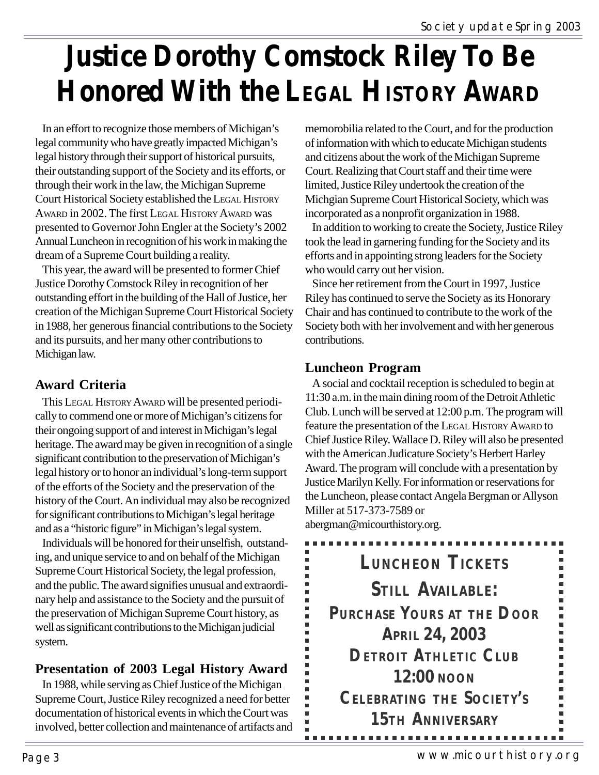# **Justice Dorothy Comstock Riley To Be Honored With the LEGAL HISTORY AWARD**

In an effort to recognize those members of Michigan's legal community who have greatly impacted Michigan's legal history through their support of historical pursuits, their outstanding support of the Society and its efforts, or through their work in the law, the Michigan Supreme Court Historical Society established the LEGAL HISTORY AWARD in 2002. The first LEGAL HISTORY AWARD was presented to Governor John Engler at the Society's 2002 Annual Luncheon in recognition of his work in making the dream of a Supreme Court building a reality.

This year, the award will be presented to former Chief Justice Dorothy Comstock Riley in recognition of her outstanding effort in the building of the Hall of Justice, her creation of the Michigan Supreme Court Historical Society in 1988, her generous financial contributions to the Society and its pursuits, and her many other contributions to Michigan law.

### **Award Criteria**

This LEGAL HISTORY AWARD will be presented periodically to commend one or more of Michigan's citizens for their ongoing support of and interest in Michigan's legal heritage. The award may be given in recognition of a single significant contribution to the preservation of Michigan's legal history or to honor an individual's long-term support of the efforts of the Society and the preservation of the history of the Court. An individual may also be recognized for significant contributions to Michigan's legal heritage and as a "historic figure" in Michigan's legal system.

Individuals will be honored for their unselfish, outstanding, and unique service to and on behalf of the Michigan Supreme Court Historical Society, the legal profession, and the public. The award signifies unusual and extraordinary help and assistance to the Society and the pursuit of the preservation of Michigan Supreme Court history, as well as significant contributions to the Michigan judicial system.

### **Presentation of 2003 Legal History Award**

In 1988, while serving as Chief Justice of the Michigan Supreme Court, Justice Riley recognized a need for better documentation of historical events in which the Court was involved, better collection and maintenance of artifacts and memorobilia related to the Court, and for the production of information with which to educate Michigan students and citizens about the work of the Michigan Supreme Court. Realizing that Court staff and their time were limited, Justice Riley undertook the creation of the Michgian Supreme Court Historical Society, which was incorporated as a nonprofit organization in 1988.

In addition to working to create the Society, Justice Riley took the lead in garnering funding for the Society and its efforts and in appointing strong leaders for the Society who would carry out her vision.

Since her retirement from the Court in 1997, Justice Riley has continued to serve the Society as its Honorary Chair and has continued to contribute to the work of the Society both with her involvement and with her generous contributions.

### **Luncheon Program**

A social and cocktail reception is scheduled to begin at 11:30 a.m. in the main dining room of the Detroit Athletic Club. Lunch will be served at 12:00 p.m. The program will feature the presentation of the LEGAL HISTORY AWARD to Chief Justice Riley. Wallace D. Riley will also be presented with the American Judicature Society's Herbert Harley Award. The program will conclude with a presentation by Justice Marilyn Kelly. For information or reservations for the Luncheon, please contact Angela Bergman or Allyson Miller at 517-373-7589 or

abergman@micourthistory.org.

**LUNCHEON TICKETS STILL AVAILABLE: PURCHASE YOURS AT THE DOOR APRIL 24, 2003 DETROIT ATHLETIC CLUB 12:00 NOON CELEBRATING THE SOCIETY'S 15TH ANNIVERSARY**